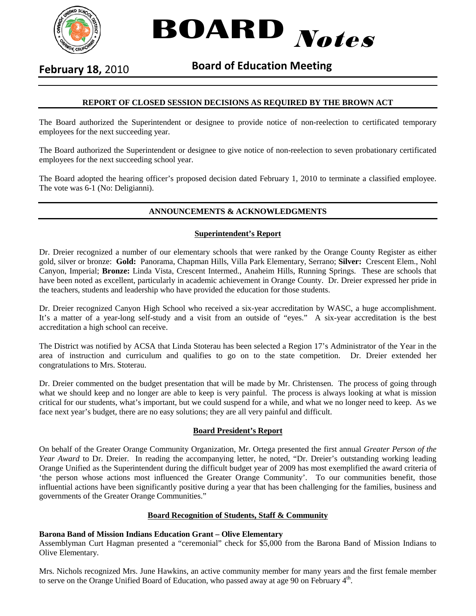

**BOARD** Notes

# **February 18,** 2010 **Board of Education Meeting**

### **REPORT OF CLOSED SESSION DECISIONS AS REQUIRED BY THE BROWN ACT**

The Board authorized the Superintendent or designee to provide notice of non-reelection to certificated temporary employees for the next succeeding year.

The Board authorized the Superintendent or designee to give notice of non-reelection to seven probationary certificated employees for the next succeeding school year.

The Board adopted the hearing officer's proposed decision dated February 1, 2010 to terminate a classified employee. The vote was 6-1 (No: Deligianni).

#### **ANNOUNCEMENTS & ACKNOWLEDGMENTS**

#### **Superintendent's Report**

Dr. Dreier recognized a number of our elementary schools that were ranked by the Orange County Register as either gold, silver or bronze: **Gold:** Panorama, Chapman Hills, Villa Park Elementary, Serrano; **Silver:** Crescent Elem., Nohl Canyon, Imperial; **Bronze:** Linda Vista, Crescent Intermed., Anaheim Hills, Running Springs. These are schools that have been noted as excellent, particularly in academic achievement in Orange County. Dr. Dreier expressed her pride in the teachers, students and leadership who have provided the education for those students.

Dr. Dreier recognized Canyon High School who received a six-year accreditation by WASC, a huge accomplishment. It's a matter of a year-long self-study and a visit from an outside of "eyes." A six-year accreditation is the best accreditation a high school can receive.

The District was notified by ACSA that Linda Stoterau has been selected a Region 17's Administrator of the Year in the area of instruction and curriculum and qualifies to go on to the state competition. Dr. Dreier extended her congratulations to Mrs. Stoterau.

Dr. Dreier commented on the budget presentation that will be made by Mr. Christensen. The process of going through what we should keep and no longer are able to keep is very painful. The process is always looking at what is mission critical for our students, what's important, but we could suspend for a while, and what we no longer need to keep. As we face next year's budget, there are no easy solutions; they are all very painful and difficult.

#### **Board President's Report**

On behalf of the Greater Orange Community Organization, Mr. Ortega presented the first annual *Greater Person of the Year Award* to Dr. Dreier. In reading the accompanying letter, he noted, "Dr. Dreier's outstanding working leading Orange Unified as the Superintendent during the difficult budget year of 2009 has most exemplified the award criteria of 'the person whose actions most influenced the Greater Orange Community'. To our communities benefit, those influential actions have been significantly positive during a year that has been challenging for the families, business and governments of the Greater Orange Communities."

#### **Board Recognition of Students, Staff & Community**

#### **Barona Band of Mission Indians Education Grant – Olive Elementary**

Assemblyman Curt Hagman presented a "ceremonial" check for \$5,000 from the Barona Band of Mission Indians to Olive Elementary.

Mrs. Nichols recognized Mrs. June Hawkins, an active community member for many years and the first female member to serve on the Orange Unified Board of Education, who passed away at age 90 on February  $4<sup>th</sup>$ .